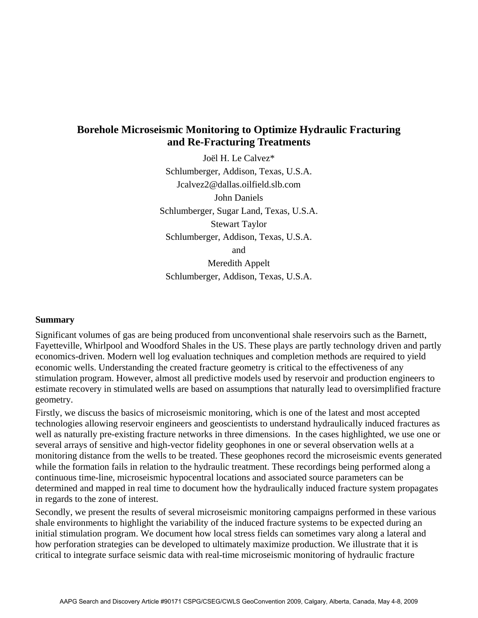## **Borehole Microseismic Monitoring to Optimize Hydraulic Fracturing and Re-Fracturing Treatments**

Joël H. Le Calvez\* Schlumberger, Addison, Texas, U.S.A. Jcalvez2@dallas.oilfield.slb.com John Daniels Schlumberger, Sugar Land, Texas, U.S.A. Stewart Taylor Schlumberger, Addison, Texas, U.S.A. and

Meredith Appelt Schlumberger, Addison, Texas, U.S.A.

## **Summary**

Significant volumes of gas are being produced from unconventional shale reservoirs such as the Barnett, Fayetteville, Whirlpool and Woodford Shales in the US. These plays are partly technology driven and partly economics-driven. Modern well log evaluation techniques and completion methods are required to yield economic wells. Understanding the created fracture geometry is critical to the effectiveness of any stimulation program. However, almost all predictive models used by reservoir and production engineers to estimate recovery in stimulated wells are based on assumptions that naturally lead to oversimplified fracture geometry.

Firstly, we discuss the basics of microseismic monitoring, which is one of the latest and most accepted technologies allowing reservoir engineers and geoscientists to understand hydraulically induced fractures as well as naturally pre-existing fracture networks in three dimensions. In the cases highlighted, we use one or several arrays of sensitive and high-vector fidelity geophones in one or several observation wells at a monitoring distance from the wells to be treated. These geophones record the microseismic events generated while the formation fails in relation to the hydraulic treatment. These recordings being performed along a continuous time-line, microseismic hypocentral locations and associated source parameters can be determined and mapped in real time to document how the hydraulically induced fracture system propagates in regards to the zone of interest.

Secondly, we present the results of several microseismic monitoring campaigns performed in these various shale environments to highlight the variability of the induced fracture systems to be expected during an initial stimulation program. We document how local stress fields can sometimes vary along a lateral and how perforation strategies can be developed to ultimately maximize production. We illustrate that it is critical to integrate surface seismic data with real-time microseismic monitoring of hydraulic fracture